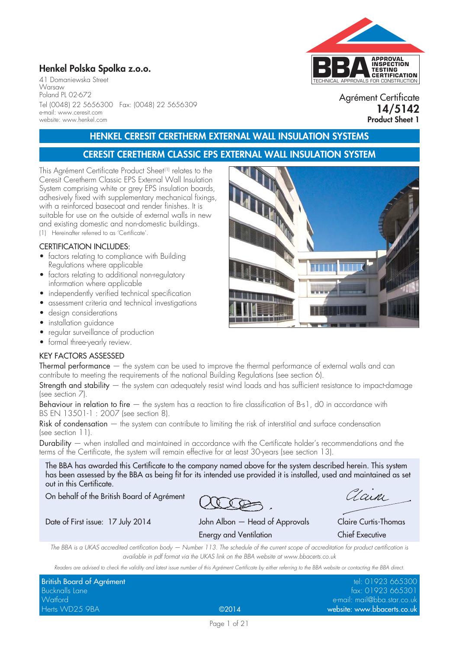41 Domaniewska Street Warsaw Poland PL 02-672 Tel (0048) 22 5656300 Fax: (0048) 22 5656309 e-mail: www.ceresit.com website: www.henkel.com

# TECHNICAL APPROVALS FOR CONSTRUCTION **APPROVAL INSPECTION TESTING CERTIFICATION Henkel Polska Spolka z.o.o.**

Agrément Certificate **14/5142 Product Sheet 1**

## **HENKEL CERESIT CERETHERM EXTERNAL WALL INSULATION SYSTEMS**

### **CERESIT CERETHERM CLASSIC EPS EXTERNAL WALL INSULATION SYSTEM**

This Agrément Certificate Product Sheet(1) relates to the Ceresit Ceretherm Classic EPS External Wall Insulation System comprising white or grey EPS insulation boards, adhesively fixed with supplementary mechanical fixings, with a reinforced basecoat and render finishes. It is suitable for use on the outside of external walls in new and existing domestic and non-domestic buildings. (1) Hereinafter referred to as 'Certificate'.

### CERTIFICATION INCLUDES:

- factors relating to compliance with Building Regulations where applicable
- factors relating to additional non-regulatory information where applicable
- independently verified technical specification
- assessment criteria and technical investigations
- design considerations
- installation guidance
- regular surveillance of production
- formal three-yearly review.

### KEY FACTORS ASSESSED

Thermal performance — the system can be used to improve the thermal performance of external walls and can contribute to meeting the requirements of the national Building Regulations (see section 6).

Strength and stability  $-$  the system can adequately resist wind loads and has sufficient resistance to impact-damage (see section 7).

Behaviour in relation to fire – the system has a reaction to fire classification of B-s1, d0 in accordance with BS EN 13501-1 : 2007 (see section 8).

Risk of condensation — the system can contribute to limiting the risk of interstitial and surface condensation (see section 11).

Durability — when installed and maintained in accordance with the Certificate holder's recommendations and the terms of the Certificate, the system will remain effective for at least 30-years (see section 13).

The BBA has awarded this Certificate to the company named above for the system described herein. This system has been assessed by the BBA as being fit for its intended use provided it is installed, used and maintained as set out in this Certificate.

On behalf of the British Board of Agrément

Lain

Date of First issue: 17 July 2014 John Albon — Head of Approvals Claire Curtis-Thomas Energy and Ventilation Chief Executive

*The BBA is a UKAS accredited certification body — Number 113. The schedule of the current scope of accreditation for product certification is available in pdf format via the UKAS link on the BBA website at www.bbacerts.co.uk*

*Readers are advised to check the validity and latest issue number of this Agrément Certificate by either referring to the BBA website or contacting the BBA direct.*

| British Board of Agrément |       | tel: 01923 665300           |
|---------------------------|-------|-----------------------------|
| <b>Bucknalls Lane</b>     |       | fax: 01923 665301           |
| Watford                   |       | e-mail: mail@bba.star.co.uk |
| Herts WD25 9BA            | @2014 | website: www.bbacerts.co.uk |

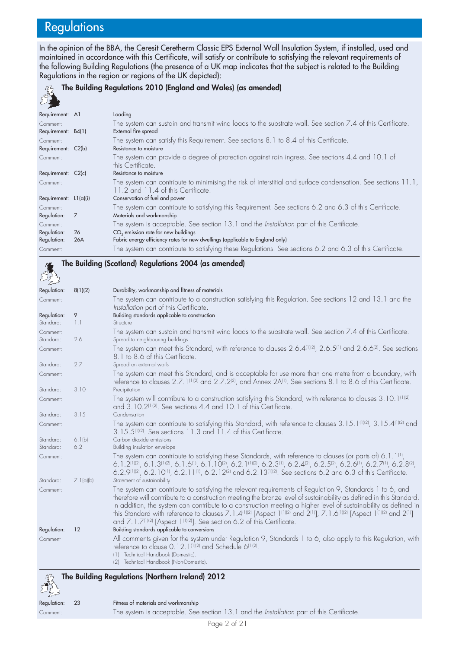# **Regulations**

In the opinion of the BBA, the Ceresit Ceretherm Classic EPS External Wall Insulation System, if installed, used and maintained in accordance with this Certificate, will satisfy or contribute to satisfying the relevant requirements of the following Building Regulations (the presence of a UK map indicates that the subject is related to the Building Regulations in the region or regions of the UK depicted):

#### **The Building Regulations 2010 (England and Wales) (as amended)**  $502$

**The Building (Scotland) Regulations 2004 (as amended)**

| $\sim$ $\sim$           |     |                                                                                                                                                     |
|-------------------------|-----|-----------------------------------------------------------------------------------------------------------------------------------------------------|
| Requirement: A1         |     | Loading                                                                                                                                             |
| Comment:                |     | The system can sustain and transmit wind loads to the substrate wall. See section 7.4 of this Certificate.                                          |
| Requirement: B4(1)      |     | External fire spread                                                                                                                                |
| Comment:                |     | The system can satisfy this Requirement. See sections 8.1 to 8.4 of this Certificate.                                                               |
| Requirement: C2(b)      |     | Resistance to moisture                                                                                                                              |
| Comment:                |     | The system can provide a degree of protection against rain ingress. See sections 4.4 and 10.1 of<br>this Certificate.                               |
| Requirement: C2(c)      |     | Resistance to moisture                                                                                                                              |
| Comment:                |     | The system can contribute to minimising the risk of interstitial and surface condensation. See sections 11.1,<br>11.2 and 11.4 of this Certificate. |
| Requirement: $L1(a)(i)$ |     | Conservation of fuel and power                                                                                                                      |
| Comment:                |     | The system can contribute to satisfying this Requirement. See sections 6.2 and 6.3 of this Certificate.                                             |
| Regulation:             | 7   | Materials and workmanship                                                                                                                           |
| Comment:                |     | The system is acceptable. See section 13.1 and the Installation part of this Certificate.                                                           |
| Regulation:             | 26  | CO <sub>2</sub> emission rate for new buildings                                                                                                     |
| Regulation:             | 26A | Fabric energy efficiency rates for new dwellings (applicable to England only)                                                                       |
| Comment:                |     | The system can contribute to satisfying these Regulations. See sections 6.2 and 6.3 of this Certificate.                                            |

Regulation: 8(1)(2) Durability, workmanship and fitness of materials Comment: The system can contribute to a construction satisfying this Regulation. See sections 12 and 13.1 and the *Installation* part of this Certificate. Regulation: 9 Building standards applicable to construction Standard: 1.1 Structure Comment: The system can sustain and transmit wind loads to the substrate wall. See section 7.4 of this Certificate. Spread to neighbouring buildings Comment: The system can meet this Standard, with reference to clauses 2.6.4(1)(2), 2.6.5(1) and 2.6.6(2). See sections 8.1 to 8.6 of this Certificate. Standard: 2.7 Spread on external walls Comment: The system can meet this Standard, and is acceptable for use more than one metre from a boundary, with reference to clauses 2.7.1<sup>(1)(2)</sup> and 2.7.2<sup>(2)</sup>, and Annex 2A<sup>(1)</sup>. See sections 8.1 to 8.6 of this Certificate. Standard: 3.10 Precipitation Comment: The system will contribute to a construction satisfying this Standard, with reference to clauses 3.10.1<sup>(1)(2)</sup> and 3.10.2<sup>(1)(2)</sup>. See sections 4.4 and 10.1 of this Certificate. Standard: 3.15 Condensation Comment: The system can contribute to satisfying this Standard, with reference to clauses 3.15.1(1)(2), 3.15.4(1)(2) and 3.15.5(1)(2). See sections 11.3 and 11.4 of this Certificate. Standard: 6.1(b) Carbon dioxide emissions Standard: 6.2 Building insulation envelope Comment: The system can contribute to satisfying these Standards, with reference to clauses (or parts of) 6.1.1<sup>(1)</sup>, 6.1.2 $^{(1)}$ (2), 6.1.3(1)(2), 6.1.6(1), 6.1.10(2), 6.2.1(1)(2), 6.2.3(1), 6.2.4(2), 6.2.5(2), 6.2.6(1), 6.2.7(1), 6.2.8(2), 6.2.9(1)(2), 6.2.10(1), 6.2.11(1), 6.2.12(2) and 6.2.13(1)(2). See sections 6.2 and 6.3 of this Certificate. Standard: 7.1(a)(b) Statement of sustainability Comment: The system can contribute to satisfying the relevant requirements of Regulation 9, Standards 1 to 6, and therefore will contribute to a construction meeting the bronze level of sustainability as defined in this Standard. In addition, the system can contribute to a construction meeting a higher level of sustainability as defined in this Standard with reference to clauses 7.1.4<sup>(1)(2)</sup> [Aspect 1<sup>(1)(2)</sup> and  $\tilde{Z}^{(1)}$ ], 7.1.6<sup>(1)(2)</sup> [Aspect 1<sup>(1)(2)</sup> and 2<sup>(1)</sup>] and 7.1.7<sup>(1)(2)</sup> [Aspect 1<sup>(1)(2)</sup>]. See section 6.2 of this Certificate. Regulation: 12 Building standards applicable to conversions Comment All comments given for the system under Regulation 9, Standards 1 to 6, also apply to this Regulation, with reference to clause 0.12.1<sup>(1)(2)</sup> and Schedule 6<sup>(1)(2)</sup>. (1) Technical Handbook (Domestic). (2) Technical Handbook (Non-Domestic). **The Building Regulations (Northern Ireland) 2012**

| $\sim$         |                                      |
|----------------|--------------------------------------|
| egulation: 23  | Fitness of materials and workmanship |
| $\sim$ mm nnti | The system is accontable Sec         |

ceptable. See section 13.1 and the *Installation* part of this Certificate.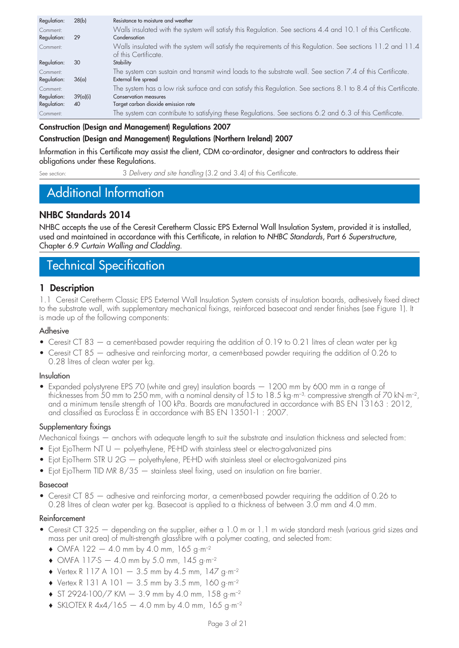| Regulation: | 28(b)    | Resistance to moisture and weather                                                                                                   |
|-------------|----------|--------------------------------------------------------------------------------------------------------------------------------------|
| Comment:    |          | Walls insulated with the system will satisfy this Regulation. See sections 4.4 and 10.1 of this Certificate.                         |
| Regulation: | 29       | Condensation                                                                                                                         |
| Comment:    |          | Walls insulated with the system will satisfy the requirements of this Regulation. See sections 11.2 and 11.4<br>of this Certificate. |
| Regulation: | 30       | Stability                                                                                                                            |
| Comment:    |          | The system can sustain and transmit wind loads to the substrate wall. See section 7.4 of this Certificate.                           |
| Regulation: | 36(a)    | External fire spread                                                                                                                 |
| Comment:    |          | The system has a low risk surface and can satisfy this Regulation. See sections 8.1 to 8.4 of this Certificate.                      |
| Regulation: | 39(a)(i) | Conservation measures                                                                                                                |
| Regulation: | 40       | Target carbon dioxide emission rate                                                                                                  |
| Comment:    |          | The system can contribute to satisfying these Regulations. See sections 6.2 and 6.3 of this Certificate.                             |

### **Construction (Design and Management) Regulations 2007**

### **Construction (Design and Management) Regulations (Northern Ireland) 2007**

Information in this Certificate may assist the client, CDM co-ordinator, designer and contractors to address their obligations under these Regulations.

See section: 3 *Delivery and site handling* (3.2 and 3.4) of this Certificate.

# Additional Information

### **NHBC Standards 2014**

NHBC accepts the use of the Ceresit Ceretherm Classic EPS External Wall Insulation System, provided it is installed, used and maintained in accordance with this Certificate, in relation to *NHBC Standards*, Part 6 *Superstructure*, Chapter 6.9 *Curtain Walling and Cladding*.

# Technical Specification

### **1 Description**

1.1 Ceresit Ceretherm Classic EPS External Wall Insulation System consists of insulation boards, adhesively fixed direct to the substrate wall, with supplementary mechanical fixings, reinforced basecoat and render finishes (see Figure 1). It is made up of the following components:

### Adhesive

- Ceresit CT 83 a cement-based powder requiring the addition of 0.19 to 0.21 litres of clean water per kg
- Ceresit CT 85 adhesive and reinforcing mortar, a cement-based powder requiring the addition of 0.26 to 0.28 litres of clean water per kg.

### Insulation

• Expanded polystyrene EPS 70 (white and grey) insulation boards — 1200 mm by 600 mm in a range of thicknesses from 50 mm to 250 mm, with a nominal density of 15 to 18.5 kg·m<sup>-3,</sup> compressive strength of 70 kN·m<sup>-2</sup>, and a minimum tensile strength of 100 kPa. Boards are manufactured in accordance with BS EN 13163 : 2012, and classified as Euroclass E in accordance with BS EN 13501-1 : 2007.

### Supplementary fixings

Mechanical fixings — anchors with adequate length to suit the substrate and insulation thickness and selected from:

- Ejot EjoTherm NT U  $-$  polyethylene, PE-HD with stainless steel or electro-galvanized pins
- Ejot EjoTherm STR U 2G polyethylene, PE-HD with stainless steel or electro-galvanized pins
- Ejot EjoTherm TID MR 8/35 stainless steel fixing, used on insulation on fire barrier.

### Basecoat

• Ceresit CT 85 — adhesive and reinforcing mortar, a cement-based powder requiring the addition of 0.26 to 0.28 litres of clean water per kg. Basecoat is applied to a thickness of between 3.0 mm and 4.0 mm.

### Reinforcement

- Ceresit CT 325 depending on the supplier, either a 1.0 m or 1.1 m wide standard mesh (various grid sizes and mass per unit area) of multi-strength glassfibre with a polymer coating, and selected from:
	- **♦** OMFA 122 4.0 mm by 4.0 mm, 165 g·m–2
	- **♦** OMFA 117-S 4.0 mm by 5.0 mm, 145 g·m–2
	- **♦** Vertex R 117 A 101 3.5 mm by 4.5 mm, 147 g·m–2
	- **♦** Vertex R 131 A 101 3.5 mm by 3.5 mm, 160 g·m–2
	- **♦** ST 2924-100/7 KM 3.9 mm by 4.0 mm, 158 g·m–2
	- **♦** SKLOTEX R 4x4/165 4.0 mm by 4.0 mm, 165 g·m–2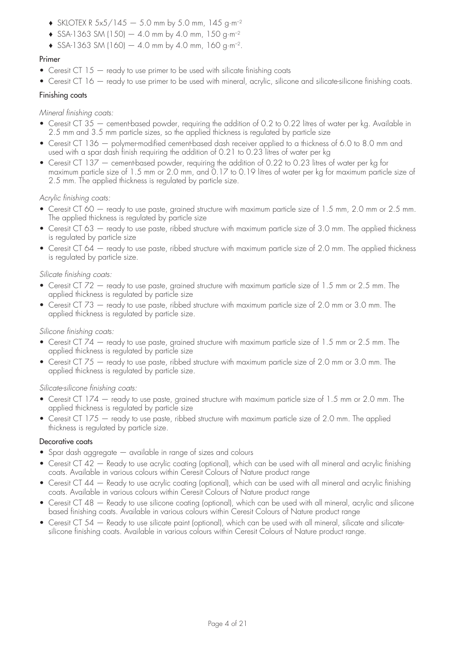- **♦** SKLOTEX R 5x5/145 5.0 mm by 5.0 mm, 145 g·m–2
- **♦** SSA-1363 SM (150) 4.0 mm by 4.0 mm, 150 g·m–2
- **♦** SSA-1363 SM (160) 4.0 mm by 4.0 mm, 160 g·m–2.

### Primer

- Ceresit CT 15 ready to use primer to be used with silicate finishing coats
- Ceresit CT 16 ready to use primer to be used with mineral, acrylic, silicone and silicate-silicone finishing coats.

#### Finishing coats

*Mineral finishing coats:*

- Ceresit CT 35 cement-based powder, requiring the addition of 0.2 to 0.22 litres of water per kg. Available in 2.5 mm and 3.5 mm particle sizes, so the applied thickness is regulated by particle size
- Ceresit CT 136 polymer-modified cement-based dash receiver applied to a thickness of 6.0 to 8.0 mm and used with a spar dash finish requiring the addition of 0.21 to 0.23 litres of water per kg
- Ceresit CT 137 cement-based powder, requiring the addition of 0.22 to 0.23 litres of water per kg for maximum particle size of 1.5 mm or 2.0 mm, and 0.17 to 0.19 litres of water per kg for maximum particle size of 2.5 mm. The applied thickness is regulated by particle size.

#### *Acrylic finishing coats:*

- Ceresit CT 60 ready to use paste, grained structure with maximum particle size of 1.5 mm, 2.0 mm or 2.5 mm. The applied thickness is regulated by particle size
- Ceresit CT 63 ready to use paste, ribbed structure with maximum particle size of 3.0 mm. The applied thickness is regulated by particle size
- Ceresit CT 64 ready to use paste, ribbed structure with maximum particle size of 2.0 mm. The applied thickness is regulated by particle size.

#### *Silicate finishing coats:*

- Ceresit CT 72 ready to use paste, grained structure with maximum particle size of 1.5 mm or 2.5 mm. The applied thickness is regulated by particle size
- Ceresit CT 73 ready to use paste, ribbed structure with maximum particle size of 2.0 mm or 3.0 mm. The applied thickness is regulated by particle size.

#### *Silicone finishing coats:*

- Ceresit CT 74 ready to use paste, grained structure with maximum particle size of 1.5 mm or 2.5 mm. The applied thickness is regulated by particle size
- Ceresit CT 75 ready to use paste, ribbed structure with maximum particle size of 2.0 mm or 3.0 mm. The applied thickness is regulated by particle size.

#### *Silicate-silicone finishing coats:*

- Ceresit CT 174 ready to use paste, grained structure with maximum particle size of 1.5 mm or 2.0 mm. The applied thickness is regulated by particle size
- Ceresit CT 175 ready to use paste, ribbed structure with maximum particle size of 2.0 mm. The applied thickness is regulated by particle size.

#### Decorative coats

- Spar dash aggregate available in range of sizes and colours
- Ceresit CT 42 Ready to use acrylic coating (optional), which can be used with all mineral and acrylic finishing coats. Available in various colours within Ceresit Colours of Nature product range
- Ceresit CT 44 Ready to use acrylic coating (optional), which can be used with all mineral and acrylic finishing coats. Available in various colours within Ceresit Colours of Nature product range
- Ceresit CT 48 Ready to use silicone coating (optional), which can be used with all mineral, acrylic and silicone based finishing coats. Available in various colours within Ceresit Colours of Nature product range
- Ceresit CT 54 Ready to use silicate paint (optional), which can be used with all mineral, silicate and silicatesilicone finishing coats. Available in various colours within Ceresit Colours of Nature product range.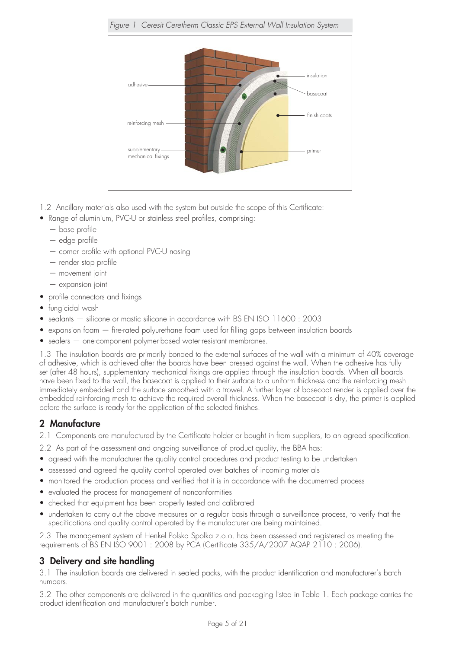

- 1.2 Ancillary materials also used with the system but outside the scope of this Certificate:
- Range of aluminium, PVC-U or stainless steel profiles, comprising:
	- base profile
	- edge profile
	- corner profile with optional PVC-U nosing
	- render stop profile
	- movement joint
	- expansion joint
- profile connectors and fixings
- fungicidal wash
- sealants silicone or mastic silicone in accordance with BS EN ISO 11600 : 2003
- expansion foam fire-rated polyurethane foam used for filling gaps between insulation boards
- sealers one-component polymer-based water-resistant membranes.

1.3 The insulation boards are primarily bonded to the external surfaces of the wall with a minimum of 40% coverage of adhesive, which is achieved after the boards have been pressed against the wall. When the adhesive has fully set (after 48 hours), supplementary mechanical fixings are applied through the insulation boards. When all boards have been fixed to the wall, the basecoat is applied to their surface to a uniform thickness and the reinforcing mesh immediately embedded and the surface smoothed with a trowel. A further layer of basecoat render is applied over the embedded reinforcing mesh to achieve the required overall thickness. When the basecoat is dry, the primer is applied before the surface is ready for the application of the selected finishes.

### **2 Manufacture**

2.1 Components are manufactured by the Certificate holder or bought in from suppliers, to an agreed specification.

- 2.2 As part of the assessment and ongoing surveillance of product quality, the BBA has:
- agreed with the manufacturer the quality control procedures and product testing to be undertaken
- assessed and agreed the quality control operated over batches of incoming materials
- monitored the production process and verified that it is in accordance with the documented process
- evaluated the process for management of nonconformities
- checked that equipment has been properly tested and calibrated
- undertaken to carry out the above measures on a regular basis through a surveillance process, to verify that the specifications and quality control operated by the manufacturer are being maintained.

2.3 The management system of Henkel Polska Spolka z.o.o. has been assessed and registered as meeting the requirements of BS EN ISO 9001 : 2008 by PCA (Certificate 335/A/2007 AQAP 2110 : 2006).

# **3 Delivery and site handling**

3.1 The insulation boards are delivered in sealed packs, with the product identification and manufacturer's batch numbers.

3.2 The other components are delivered in the quantities and packaging listed in Table 1. Each package carries the product identification and manufacturer's batch number.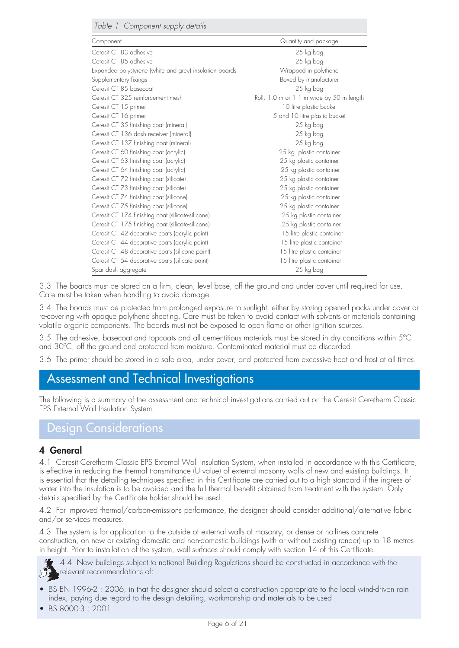| Table 1 Component supply details                        |                                          |
|---------------------------------------------------------|------------------------------------------|
| Component                                               | Quantity and package                     |
| Ceresit CT 83 adhesive                                  | 25 kg bag                                |
| Ceresit CT 85 adhesive                                  | 25 kg bag                                |
| Expanded polystyrene (white and grey) insulation boards | Wrapped in polythene                     |
| Supplementary fixings                                   | Boxed by manufacturer                    |
| Ceresit CT 85 basecoat                                  | 25 kg bag                                |
| Ceresit CT 325 reinforcement mesh                       | Roll, 1.0 m or 1.1 m wide by 50 m length |
| Ceresit CT 15 primer                                    | 10 litre plastic bucket                  |
| Ceresit CT 16 primer                                    | 5 and 10 litre plastic bucket            |
| Ceresit CT 35 finishing coat (mineral)                  | 25 kg bag                                |
| Ceresit CT 136 dash receiver (mineral)                  | 25 kg bag                                |
| Ceresit CT 137 finishing coat (mineral)                 | 25 kg bag                                |
| Ceresit CT 60 finishing coat (acrylic)                  | 25 kg plastic container                  |
| Ceresit CT 63 finishing coat (acrylic)                  | 25 kg plastic container                  |
| Ceresit CT 64 finishing coat (acrylic)                  | 25 kg plastic container                  |
| Ceresit CT 72 finishing coat (silicate)                 | 25 kg plastic container                  |
| Ceresit CT 73 finishing coat (silicate)                 | 25 kg plastic container                  |
| Ceresit CT 74 finishing coat (silicone)                 | 25 kg plastic container                  |
| Ceresit CT 75 finishing coat (silicone)                 | 25 kg plastic container                  |
| Ceresit CT 174 finishing coat (silicate-silicone)       | 25 kg plastic container                  |
| Ceresit CT 175 finishing coat (silicate-silicone)       | 25 kg plastic container                  |
| Ceresit CT 42 decorative coats (acrylic paint)          | 15 litre plastic container               |
| Ceresit CT 44 decorative coats (acrylic paint)          | 15 litre plastic container               |
| Ceresit CT 48 decorative coats (silicone paint)         | 15 litre plastic container               |
| Ceresit CT 54 decorative coats (silicate paint)         | 15 litre plastic container               |
| Spar dash aggregate                                     | 25 kg bag                                |

3.3 The boards must be stored on a firm, clean, level base, off the ground and under cover until required for use. Care must be taken when handling to avoid damage.

3.4 The boards must be protected from prolonged exposure to sunlight, either by storing opened packs under cover or re-covering with opaque polythene sheeting. Care must be taken to avoid contact with solvents or materials containing volatile organic components. The boards must not be exposed to open flame or other ignition sources.

3.5 The adhesive, basecoat and topcoats and all cementitious materials must be stored in dry conditions within 5°C and 30ºC, off the ground and protected from moisture. Contaminated material must be discarded.

3.6 The primer should be stored in a safe area, under cover, and protected from excessive heat and frost at all times.

# Assessment and Technical Investigations

The following is a summary of the assessment and technical investigations carried out on the Ceresit Ceretherm Classic EPS External Wall Insulation System.

# Design Considerations

### **4 General**

4.1 Ceresit Ceretherm Classic EPS External Wall Insulation System, when installed in accordance with this Certificate, is effective in reducing the thermal transmittance (U value) of external masonry walls of new and existing buildings. It is essential that the detailing techniques specified in this Certificate are carried out to a high standard if the ingress of water into the insulation is to be avoided and the full thermal benefit obtained from treatment with the system. Only details specified by the Certificate holder should be used.

4.2 For improved thermal/carbon-emissions performance, the designer should consider additional/alternative fabric and/or services measures.

4.3 The system is for application to the outside of external walls of masonry, or dense or no-fines concrete construction, on new or existing domestic and non-domestic buildings (with or without existing render) up to 18 metres in height. Prior to installation of the system, wall surfaces should comply with section 14 of this Certificate.

4.4 New buildings subject to national Building Regulations should be constructed in accordance with the relevant recommendations of:

- BS EN 1996-2 : 2006, in that the designer should select a construction appropriate to the local wind-driven rain index, paying due regard to the design detailing, workmanship and materials to be used
- BS 8000-3 : 2001.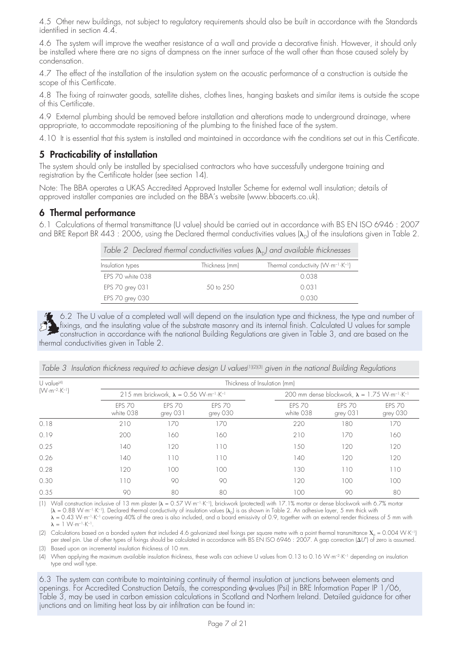4.5 Other new buildings, not subject to regulatory requirements should also be built in accordance with the Standards identified in section 4.4.

4.6 The system will improve the weather resistance of a wall and provide a decorative finish. However, it should only be installed where there are no signs of dampness on the inner surface of the wall other than those caused solely by condensation.

4.7 The effect of the installation of the insulation system on the acoustic performance of a construction is outside the scope of this Certificate.

4.8 The fixing of rainwater goods, satellite dishes, clothes lines, hanging baskets and similar items is outside the scope of this Certificate.

4.9 External plumbing should be removed before installation and alterations made to underground drainage, where appropriate, to accommodate repositioning of the plumbing to the finished face of the system.

4.10 It is essential that this system is installed and maintained in accordance with the conditions set out in this Certificate.

### **5 Practicability of installation**

The system should only be installed by specialised contractors who have successfully undergone training and registration by the Certificate holder (see section 14).

Note: The BBA operates a UKAS Accredited Approved Installer Scheme for external wall insulation; details of approved installer companies are included on the BBA's website (www.bbacerts.co.uk).

### **6 Thermal performance**

6.1 Calculations of thermal transmittance (U value) should be carried out in accordance with BS EN ISO 6946 : 2007 and BRE Report BR 443 : 2006, using the Declared thermal conductivities values ( $\lambda_{\rm D}$ ) of the insulations given in Table 2.

*Table 2 Declared thermal conductivities values (*-<sup>D</sup>*) and available thicknesses*

| Insulation types | Thickness (mm)       | Thermal conductivity $(W \cdot m^{-1} \cdot K^{-1})$ |
|------------------|----------------------|------------------------------------------------------|
| FPS 70 white 038 |                      | 0.038                                                |
| EPS 70 grey 031  | $50 \text{ to } 250$ | 0.031                                                |
| EPS 70 grey 030  |                      | O 0.30                                               |

6.2 The U value of a completed wall will depend on the insulation type and thickness, the type and number of fixings, and the insulating value of the substrate masonry and its internal finish. Calculated U values for sample construction in accordance with the national Building Regulations are given in Table 3, and are based on the thermal conductivities given in Table 2.

| $U$ value <sup>[4]</sup>        | Thickness of Insulation (mm) |                                                                       |                           |                            |                                                                             |                           |
|---------------------------------|------------------------------|-----------------------------------------------------------------------|---------------------------|----------------------------|-----------------------------------------------------------------------------|---------------------------|
| $(W \cdot m^{-2} \cdot K^{-1})$ |                              | 215 mm brickwork, $\lambda = 0.56$ W·m <sup>-1</sup> ·K <sup>-1</sup> |                           |                            | 200 mm dense blockwork, $\lambda = 1.75$ W·m <sup>-1</sup> ·K <sup>-1</sup> |                           |
|                                 | <b>FPS 70</b><br>white 038   | <b>FPS 70</b><br>grey 031                                             | <b>EPS 70</b><br>grey 030 | <b>FPS 70</b><br>white 038 | <b>FPS 70</b><br>grey 031                                                   | <b>EPS 70</b><br>grey 030 |
| 0.18                            | 210                          | 170                                                                   | 170                       | 220                        | 180                                                                         | 170                       |
| 0.19                            | 200                          | 160                                                                   | 160                       | 210                        | 170                                                                         | 160                       |
| 0.25                            | 140                          | 120                                                                   | 110                       | 50                         | 120                                                                         | 120                       |
| 0.26                            | 140                          | 110                                                                   | 110                       | 140                        | 120                                                                         | 120                       |
| 0.28                            | 120                          | 100                                                                   | 100                       | 130                        | 110                                                                         | 110                       |
| 0.30                            | 110                          | 90                                                                    | 90                        | 120                        | 100                                                                         | 100                       |
| 0.35                            | 90                           | 80                                                                    | 80                        | 100                        | 90                                                                          | 80                        |

*Table 3 Insulation thickness required to achieve design U values<sup>[1](2)(3)</sup> given in the national Building Regulations* 

(1) Wall construction inclusive of 13 mm plaster (**λ** = 0.57 W·m<sup>-1</sup>·K<sup>-1</sup>), brickwork (protected) with 17.1% mortar or dense blockwork with 6.7% mortar  $(\lambda = 0.88 \text{ W} \cdot \text{m}^{-1} \cdot \text{K}^{-1})$ . Declared thermal conductivity of insulation values  $(\lambda_{\text{D}})$  is as shown in Table 2. An adhesive layer, 5 mm thick with  $\lambda$  = 0.43 W·m<sup>–1.</sup>K<sup>–1</sup> covering 40% of the area is also included, and a board emissivity of 0.9, together with an external render thickness of 5 mm with  $\lambda = 1$  W·m<sup>-1</sup>·K<sup>-1</sup>.

(2) Calculations based on a bonded system that included 4.6 galvanized steel fixings per square metre with a point thermal transmittance  $\rm X_p$  = 0.004 W·K-1) per steel pin. Use of other types of fixings should be calculated in accordance with BS EN ISO 6946 : 2007. A gap correction (*U*") of zero is assumed. (3) Based upon an incremental insulation thickness of 10 mm.

(4) When applying the maximum available insulation thickness, these walls can achieve U values from 0.13 to 0.16 W·m–2·K–1 depending on insulation type and wall type.

6.3 The system can contribute to maintaining continuity of thermal insulation at junctions between elements and openings. For Accredited Construction Details, the corresponding u-values (Psi) in BRE Information Paper IP 1/06, Table 3, may be used in carbon emission calculations in Scotland and Northern Ireland. Detailed guidance for other junctions and on limiting heat loss by air infiltration can be found in: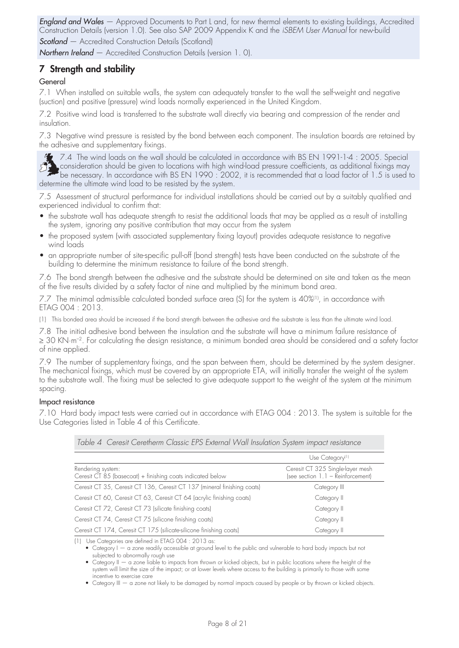*England and Wales* — Approved Documents to Part L and, for new thermal elements to existing buildings, Accredited Construction Details (version 1.0). See also SAP 2009 Appendix K and the *iSBEM User Manual* for new-build **Scotland** – Accredited Construction Details (Scotland)

*Northern Ireland* — Accredited Construction Details (version 1. 0).

## **7 Strength and stability**

### General

7.1 When installed on suitable walls, the system can adequately transfer to the wall the self-weight and negative (suction) and positive (pressure) wind loads normally experienced in the United Kingdom.

7.2 Positive wind load is transferred to the substrate wall directly via bearing and compression of the render and insulation.

7.3 Negative wind pressure is resisted by the bond between each component. The insulation boards are retained by the adhesive and supplementary fixings.

7.4 The wind loads on the wall should be calculated in accordance with BS EN 1991-1-4 : 2005. Special ER. consideration should be given to locations with high wind-load pressure coefficients, as additional fixings may be necessary. In accordance with BS EN 1990 : 2002, it is recommended that a load factor of 1.5 is used to determine the ultimate wind load to be resisted by the system.

7.5 Assessment of structural performance for individual installations should be carried out by a suitably qualified and experienced individual to confirm that:

- the substrate wall has adequate strength to resist the additional loads that may be applied as a result of installing the system, ignoring any positive contribution that may occur from the system
- the proposed system (with associated supplementary fixing layout) provides adequate resistance to negative wind loads
- an appropriate number of site-specific pull-off (bond strength) tests have been conducted on the substrate of the building to determine the minimum resistance to failure of the bond strength.

7.6 The bond strength between the adhesive and the substrate should be determined on site and taken as the mean of the five results divided by a safety factor of nine and multiplied by the minimum bond area.

7.7 The minimal admissible calculated bonded surface area (S) for the system is 40%(1), in accordance with ETAG 004 : 2013.

(1) This bonded area should be increased if the bond strength between the adhesive and the substrate is less than the ultimate wind load.

7.8 The initial adhesive bond between the insulation and the substrate will have a minimum failure resistance of ≥ 30 KN·m<sup>-2</sup>. For calculating the design resistance, a minimum bonded area should be considered and a safety factor of nine applied.

7.9 The number of supplementary fixings, and the span between them, should be determined by the system designer. The mechanical fixings, which must be covered by an appropriate ETA, will initially transfer the weight of the system to the substrate wall. The fixing must be selected to give adequate support to the weight of the system at the minimum spacing.

#### Impact resistance

7.10 Hard body impact tests were carried out in accordance with ETAG 004 : 2013. The system is suitable for the Use Categories listed in Table 4 of this Certificate.

| Table 4 Ceresit Ceretherm Classic EPS External Wall Insulation System impact resistance |                                                                       |  |
|-----------------------------------------------------------------------------------------|-----------------------------------------------------------------------|--|
|                                                                                         | Use Category <sup>(1)</sup>                                           |  |
| Rendering system:<br>Ceresit CT 85 (basecoat) + finishing coats indicated below         | Ceresit CT 325 Single-layer mesh<br>(see section 1.1 - Reinforcement) |  |
| Ceresit CT 35, Ceresit CT 136, Ceresit CT 137 (mineral finishing coats)                 | Category III                                                          |  |
| Ceresit CT 60, Ceresit CT 63, Ceresit CT 64 (acrylic finishing coats)                   | Category II                                                           |  |
| Ceresit CT 72, Ceresit CT 73 (silicate finishing coats)                                 | Category II                                                           |  |
| Ceresit CT 74, Ceresit CT 75 (silicone finishing coats)                                 | Category II                                                           |  |
| Ceresit CT 174, Ceresit CT 175 (silicate-silicone finishing coats)                      | Category II                                                           |  |

(1) Use Categories are defined in ETAG 004 : 2013 as:

• Category I — a zone readily accessible at ground level to the public and vulnerable to hard body impacts but not subjected to abnormally rough use

 • Category II — a zone liable to impacts from thrown or kicked objects, but in public locations where the height of the system will limit the size of the impact; or at lower levels where access to the building is primarily to those with some incentive to exercise care

• Category III — a zone not likely to be damaged by normal impacts caused by people or by thrown or kicked objects.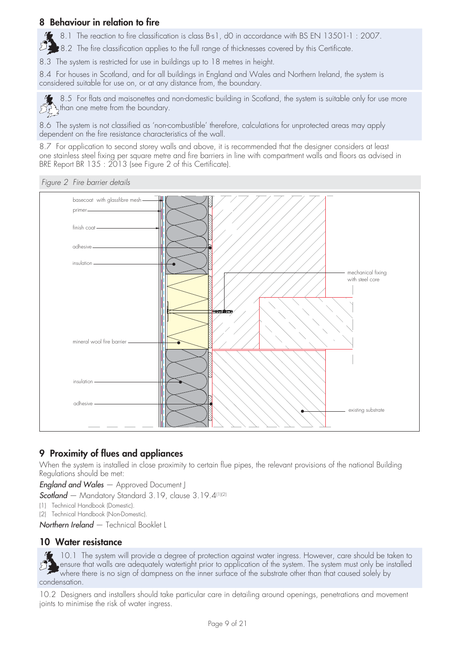### **8 Behaviour in relation to fire**

8.1 The reaction to fire classification is class B-s1, d0 in accordance with BS EN 13501-1: 2007.

シュ 8.2 The fire classification applies to the full range of thicknesses covered by this Certificate.

8.3 The system is restricted for use in buildings up to 18 metres in height.

8.4 For houses in Scotland, and for all buildings in England and Wales and Northern Ireland, the system is considered suitable for use on, or at any distance from, the boundary.

8.5 For flats and maisonettes and non-domestic building in Scotland, the system is suitable only for use more  $\mathbb{C}^{\mathbb{C}^{\mathbb{C}}}_{\mathbb{C}^{\mathbb{C}}}$  than one metre from the boundary.

8.6 The system is not classified as 'non-combustible' therefore, calculations for unprotected areas may apply dependent on the fire resistance characteristics of the wall.

8.7 For application to second storey walls and above, it is recommended that the designer considers at least one stainless steel fixing per square metre and fire barriers in line with compartment walls and floors as advised in BRE Report BR 135 : 2013 (see Figure 2 of this Certificate).

*Figure 2 Fire barrier details*



### **9 Proximity of flues and appliances**

When the system is installed in close proximity to certain flue pipes, the relevant provisions of the national Building Regulations should be met:

*England and Wales* — Approved Document J

*Scotland* — Mandatory Standard 3.19, clause 3.19.4(1)(2)

- (1) Technical Handbook (Domestic).
- (2) Technical Handbook (Non-Domestic).
- *Northern Ireland* Technical Booklet L

### **10 Water resistance**

10.1 The system will provide a degree of protection against water ingress. However, care should be taken to ensure that walls are adequately watertight prior to application of the system. The system must only be installed where there is no sign of dampness on the inner surface of the substrate other than that caused solely by condensation.

10.2 Designers and installers should take particular care in detailing around openings, penetrations and movement joints to minimise the risk of water ingress.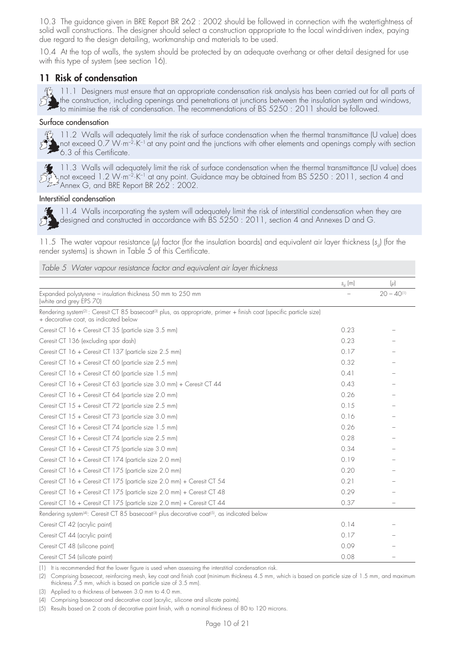10.3 The guidance given in BRE Report BR 262 : 2002 should be followed in connection with the watertightness of solid wall constructions. The designer should select a construction appropriate to the local wind-driven index, paying due regard to the design detailing, workmanship and materials to be used.

10.4 At the top of walls, the system should be protected by an adequate overhang or other detail designed for use with this type of system (see section 16).

### **11 Risk of condensation**

 $\frac{dQ}{dx}$  11.1 Designers must ensure that an appropriate condensation risk analysis has been carried out for all parts of the construction, including openings and penetrations at junctions between the insulation system and windows, to minimise the risk of condensation. The recommendations of BS 5250 : 2011 should be followed.

#### Surface condensation



11.2 Walls will adequately limit the risk of surface condensation when the thermal transmittance (U value) does not exceed 0.7 W·m–2·K–1 at any point and the junctions with other elements and openings comply with section 6.3 of this Certificate.



11.3 Walls will adequately limit the risk of surface condensation when the thermal transmittance (U value) does not exceed 1.2 W·m–2·K–1 at any point. Guidance may be obtained from BS 5250 : 2011, section 4 and Annex G, and BRE Report BR 262 : 2002.

#### Interstitial condensation



11.4 Walls incorporating the system will adequately limit the risk of interstitial condensation when they are designed and constructed in accordance with BS 5250 : 2011, section 4 and Annexes D and G.

11.5 The water vapour resistance (*µ*) factor (for the insulation boards) and equivalent air layer thickness (s<sub>a</sub>) (for the render systems) is shown in Table 5 of this Certificate.

#### *Table 5 Water vapour resistance factor and equivalent air layer thickness*

|                                                                                                                                                                                      | $s_{d}$ (m) | $(\mu)$                  |
|--------------------------------------------------------------------------------------------------------------------------------------------------------------------------------------|-------------|--------------------------|
| Expanded polystyrene - insulation thickness 50 mm to 250 mm<br>(white and grey EPS 70)                                                                                               |             | $20 - 40$ <sup>(1)</sup> |
| Rendering system <sup>(2)</sup> : Ceresit CT 85 basecoat <sup>(3)</sup> plus, as appropriate, primer + finish coat (specific particle size)<br>+ decorative coat, as indicated below |             |                          |
| Ceresit CT 16 + Ceresit CT 35 (particle size 3.5 mm)                                                                                                                                 | 0.23        |                          |
| Ceresit CT 136 (excluding spar dash)                                                                                                                                                 | 0.23        |                          |
| Ceresit CT 16 + Ceresit CT 137 (particle size 2.5 mm)                                                                                                                                | 0.17        |                          |
| Ceresit CT 16 + Ceresit CT 60 (particle size 2.5 mm)                                                                                                                                 | 0.32        |                          |
| Ceresit CT 16 + Ceresit CT 60 (particle size 1.5 mm)                                                                                                                                 | 0.41        |                          |
| Ceresit CT 16 + Ceresit CT 63 (particle size 3.0 mm) + Ceresit CT 44                                                                                                                 | 0.43        |                          |
| Ceresit CT 16 + Ceresit CT 64 (particle size 2.0 mm)                                                                                                                                 | 0.26        |                          |
| Ceresit CT 15 + Ceresit CT 72 (particle size 2.5 mm)                                                                                                                                 | 0.15        |                          |
| Ceresit CT 15 + Ceresit CT 73 (particle size 3.0 mm)                                                                                                                                 | 0.16        |                          |
| Ceresit CT 16 + Ceresit CT 74 (particle size 1.5 mm)                                                                                                                                 | 0.26        |                          |
| Ceresit CT 16 + Ceresit CT 74 (particle size 2.5 mm)                                                                                                                                 | 0.28        |                          |
| Ceresit CT 16 + Ceresit CT 75 (particle size 3.0 mm)                                                                                                                                 | 0.34        |                          |
| Ceresit CT 16 + Ceresit CT 174 (particle size 2.0 mm)                                                                                                                                | 0.19        |                          |
| Ceresit CT 16 + Ceresit CT 175 (particle size 2.0 mm)                                                                                                                                | 0.20        |                          |
| Ceresit CT 16 + Ceresit CT 175 (particle size 2.0 mm) + Ceresit CT 54                                                                                                                | 0.21        |                          |
| Ceresit CT 16 + Ceresit CT 175 (particle size 2.0 mm) + Ceresit CT 48                                                                                                                | 0.29        |                          |
| Ceresit CT 16 + Ceresit CT 175 (particle size 2.0 mm) + Ceresit CT 44                                                                                                                | 0.37        |                          |
| Rendering system <sup>(4)</sup> : Ceresit CT 85 basecoat <sup>(3)</sup> plus decorative coat <sup>(5)</sup> , as indicated below                                                     |             |                          |
| Ceresit CT 42 (acrylic paint)                                                                                                                                                        | 0.14        |                          |
| Ceresit CT 44 (acrylic paint)                                                                                                                                                        | 0.17        |                          |
| Ceresit CT 48 (silicone paint)                                                                                                                                                       | 0.09        |                          |
| Ceresit CT 54 (silicate paint)                                                                                                                                                       | 0.08        |                          |

(1) It is recommended that the lower figure is used when assessing the interstitial condensation risk.

(2) Comprising basecoat, reinforcing mesh, key coat and finish coat (minimum thickness 4.5 mm, which is based on particle size of 1.5 mm, and maximum thickness 7.5 mm, which is based on particle size of 3.5 mm).

(3) Applied to a thickness of between 3.0 mm to 4.0 mm.

(4) Comprising basecoat and decorative coat (acrylic, silicone and silicate paints).

(5) Results based on 2 coats of decorative paint finish, with a nominal thickness of 80 to 120 microns.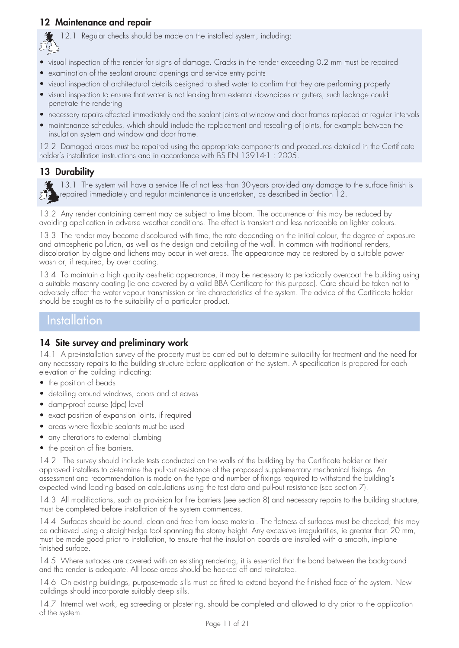### **12 Maintenance and repair**



 $\mathcal{I}$  12.1 Regular checks should be made on the installed system, including:

- visual inspection of the render for signs of damage. Cracks in the render exceeding 0.2 mm must be repaired
- examination of the sealant around openings and service entry points
- visual inspection of architectural details designed to shed water to confirm that they are performing properly
- visual inspection to ensure that water is not leaking from external downpipes or gutters; such leakage could penetrate the rendering
- necessary repairs effected immediately and the sealant joints at window and door frames replaced at regular intervals
- maintenance schedules, which should include the replacement and resealing of joints, for example between the insulation system and window and door frame.

12.2 Damaged areas must be repaired using the appropriate components and procedures detailed in the Certificate holder's installation instructions and in accordance with BS EN 13914-1 : 2005.

### **13 Durability**

13.1 The system will have a service life of not less than 30-years provided any damage to the surface finish is repaired immediately and regular maintenance is undertaken, as described in Section 12.

13.2 Any render containing cement may be subject to lime bloom. The occurrence of this may be reduced by avoiding application in adverse weather conditions. The effect is transient and less noticeable on lighter colours.

13.3 The render may become discoloured with time, the rate depending on the initial colour, the degree of exposure and atmospheric pollution, as well as the design and detailing of the wall. In common with traditional renders, discoloration by algae and lichens may occur in wet areas. The appearance may be restored by a suitable power wash or, if required, by over coating.

13.4 To maintain a high quality aesthetic appearance, it may be necessary to periodically overcoat the building using a suitable masonry coating (ie one covered by a valid BBA Certificate for this purpose). Care should be taken not to adversely affect the water vapour transmission or fire characteristics of the system. The advice of the Certificate holder should be sought as to the suitability of a particular product.

### **Installation**

### **14 Site survey and preliminary work**

14.1 A pre-installation survey of the property must be carried out to determine suitability for treatment and the need for any necessary repairs to the building structure before application of the system. A specification is prepared for each elevation of the building indicating:

- the position of beads
- detailing around windows, doors and at eaves
- damp-proof course (dpc) level
- exact position of expansion joints, if required
- areas where flexible sealants must be used
- any alterations to external plumbing
- the position of fire barriers.

14.2 The survey should include tests conducted on the walls of the building by the Certificate holder or their approved installers to determine the pull-out resistance of the proposed supplementary mechanical fixings. An assessment and recommendation is made on the type and number of fixings required to withstand the building's expected wind loading based on calculations using the test data and pull-out resistance (see section 7).

14.3 All modifications, such as provision for fire barriers (see section 8) and necessary repairs to the building structure, must be completed before installation of the system commences.

14.4 Surfaces should be sound, clean and free from loose material. The flatness of surfaces must be checked; this may be achieved using a straight-edge tool spanning the storey height. Any excessive irregularities, ie greater than 20 mm, must be made good prior to installation, to ensure that the insulation boards are installed with a smooth, in-plane finished surface.

14.5 Where surfaces are covered with an existing rendering, it is essential that the bond between the background and the render is adequate. All loose areas should be hacked off and reinstated.

14.6 On existing buildings, purpose-made sills must be fitted to extend beyond the finished face of the system. New buildings should incorporate suitably deep sills.

14.7 Internal wet work, eg screeding or plastering, should be completed and allowed to dry prior to the application of the system.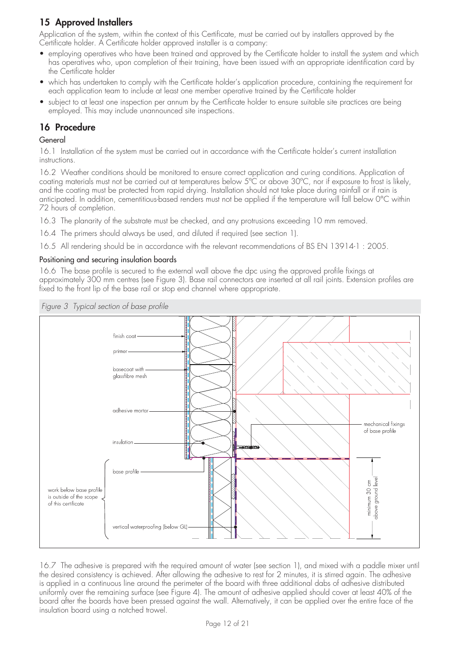# **15 Approved Installers**

Application of the system, within the context of this Certificate, must be carried out by installers approved by the Certificate holder. A Certificate holder approved installer is a company:

- employing operatives who have been trained and approved by the Certificate holder to install the system and which has operatives who, upon completion of their training, have been issued with an appropriate identification card by the Certificate holder
- which has undertaken to comply with the Certificate holder's application procedure, containing the requirement for each application team to include at least one member operative trained by the Certificate holder
- subject to at least one inspection per annum by the Certificate holder to ensure suitable site practices are being employed. This may include unannounced site inspections.

### **16 Procedure**

### General

16.1 Installation of the system must be carried out in accordance with the Certificate holder's current installation instructions.

16.2 Weather conditions should be monitored to ensure correct application and curing conditions. Application of coating materials must not be carried out at temperatures below 5°C or above 30°C, nor if exposure to frost is likely, and the coating must be protected from rapid drying. Installation should not take place during rainfall or if rain is anticipated. In addition, cementitious-based renders must not be applied if the temperature will fall below 0°C within 72 hours of completion.

16.3 The planarity of the substrate must be checked, and any protrusions exceeding 10 mm removed.

16.4 The primers should always be used, and diluted if required (see section 1).

16.5 All rendering should be in accordance with the relevant recommendations of BS EN 13914-1 : 2005.

### Positioning and securing insulation boards

16.6 The base profile is secured to the external wall above the dpc using the approved profile fixings at approximately 300 mm centres (see Figure 3). Base rail connectors are inserted at all rail joints. Extension profiles are fixed to the front lip of the base rail or stop end channel where appropriate.



16.7 The adhesive is prepared with the required amount of water (see section 1), and mixed with a paddle mixer until the desired consistency is achieved. After allowing the adhesive to rest for 2 minutes, it is stirred again. The adhesive is applied in a continuous line around the perimeter of the board with three additional dabs of adhesive distributed uniformly over the remaining surface (see Figure 4). The amount of adhesive applied should cover at least 40% of the board after the boards have been pressed against the wall. Alternatively, it can be applied over the entire face of the insulation board using a notched trowel.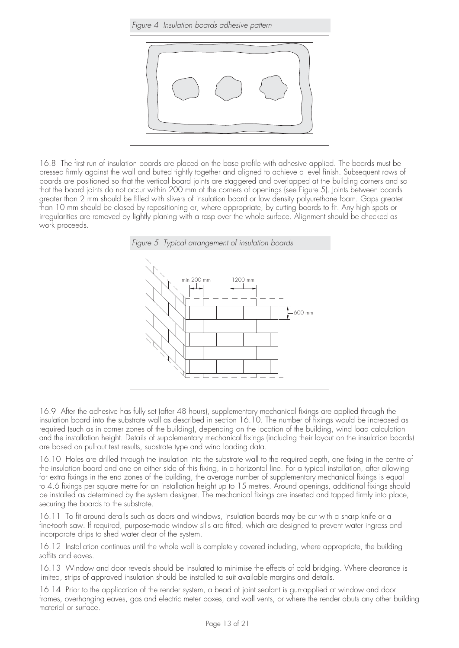*Figure 4 Insulation boards adhesive pattern*



16.8 The first run of insulation boards are placed on the base profile with adhesive applied. The boards must be pressed firmly against the wall and butted tightly together and aligned to achieve a level finish. Subsequent rows of boards are positioned so that the vertical board joints are staggered and overlapped at the building corners and so that the board joints do not occur within 200 mm of the corners of openings (see Figure 5). Joints between boards greater than 2 mm should be filled with slivers of insulation board or low density polyurethane foam. Gaps greater than 10 mm should be closed by repositioning or, where appropriate, by cutting boards to fit. Any high spots or irregularities are removed by lightly planing with a rasp over the whole surface. Alignment should be checked as work proceeds.



16.9 After the adhesive has fully set (after 48 hours), supplementary mechanical fixings are applied through the insulation board into the substrate wall as described in section 16.10. The number of fixings would be increased as required (such as in corner zones of the building), depending on the location of the building, wind load calculation and the installation height. Details of supplementary mechanical fixings (including their layout on the insulation boards) are based on pull-out test results, substrate type and wind loading data.

16.10 Holes are drilled through the insulation into the substrate wall to the required depth, one fixing in the centre of the insulation board and one on either side of this fixing, in a horizontal line. For a typical installation, after allowing for extra fixings in the end zones of the building, the average number of supplementary mechanical fixings is equal to 4.6 fixings per square metre for an installation height up to 15 metres. Around openings, additional fixings should be installed as determined by the system designer. The mechanical fixings are inserted and tapped firmly into place, securing the boards to the substrate.

16.11 To fit around details such as doors and windows, insulation boards may be cut with a sharp knife or a fine-tooth saw. If required, purpose-made window sills are fitted, which are designed to prevent water ingress and incorporate drips to shed water clear of the system.

16.12 Installation continues until the whole wall is completely covered including, where appropriate, the building soffits and eaves.

16.13 Window and door reveals should be insulated to minimise the effects of cold bridging. Where clearance is limited, strips of approved insulation should be installed to suit available margins and details.

16.14 Prior to the application of the render system, a bead of joint sealant is gun-applied at window and door frames, overhanging eaves, gas and electric meter boxes, and wall vents, or where the render abuts any other building material or surface.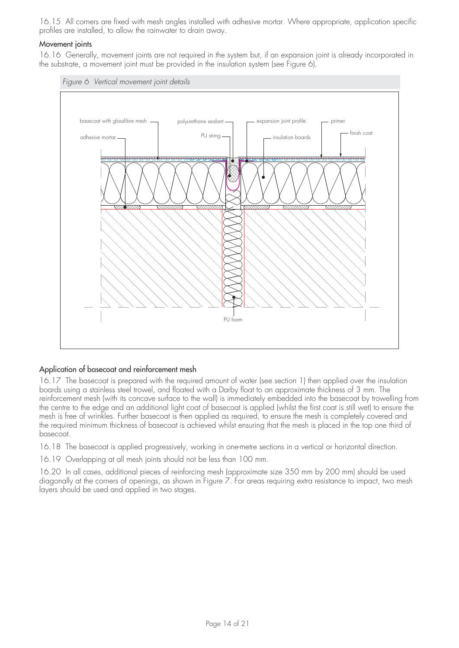16.15 All corners are fixed with mesh angles installed with adhesive mortar. Where appropriate, application specific profiles are installed, to allow the rainwater to drain away.

#### Movement joints

16.16 Generally, movement joints are not required in the system but, if an expansion joint is already incorporated in the substrate, a movement joint must be provided in the insulation system (see Figure 6).



### Application of basecoat and reinforcement mesh

16.17 The basecoat is prepared with the required amount of water (see section 1) then applied over the insulation boards using a stainless steel trowel, and floated with a Darby float to an approximate thickness of 3 mm. The reinforcement mesh (with its concave surface to the wall) is immediately embedded into the basecoat by trowelling from the centre to the edge and an additional light coat of basecoat is applied (whilst the first coat is still wet) to ensure the mesh is free of wrinkles. Further basecoat is then applied as required, to ensure the mesh is completely covered and the required minimum thickness of basecoat is achieved whilst ensuring that the mesh is placed in the top one third of basecoat.

16.18 The basecoat is applied progressively, working in one-metre sections in a vertical or horizontal direction.

16.19 Overlapping at all mesh joints should not be less than 100 mm.

16.20 In all cases, additional pieces of reinforcing mesh (approximate size 350 mm by 200 mm) should be used diagonally at the corners of openings, as shown in Figure 7. For areas requiring extra resistance to impact, two mesh layers should be used and applied in two stages.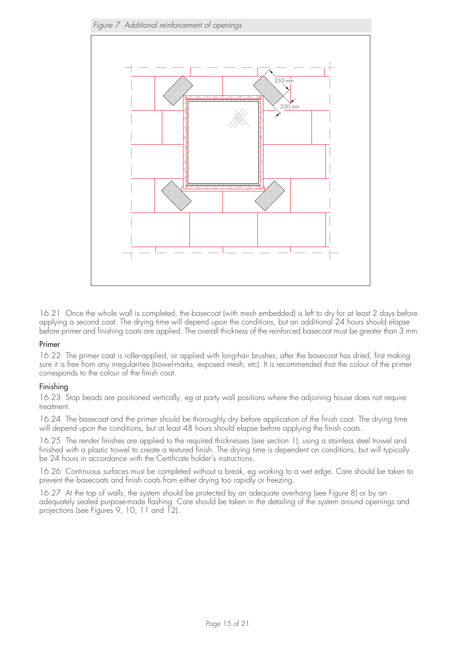

16.21 Once the whole wall is completed, the basecoat (with mesh embedded) is left to dry for at least 2 days before applying a second coat. The drying time will depend upon the conditions, but an additional 24 hours should elapse before primer and finishing coats are applied. The overall thickness of the reinforced basecoat must be greater than 3 mm.

### Primer

16.22 The primer coat is roller-applied, or applied with long-hair brushes, after the basecoat has dried, first making sure it is free from any irregularities (trowel-marks, exposed mesh, etc). It is recommended that the colour of the primer corresponds to the colour of the finish coat.

### Finishing

16.23 Stop beads are positioned vertically, eg at party wall positions where the adjoining house does not require treatment.

16.24 The basecoat and the primer should be thoroughly dry before application of the finish coat. The drying time will depend upon the conditions, but at least 48 hours should elapse before applying the finish coats.

16.25 The render finishes are applied to the required thicknesses (see section 1), using a stainless steel trowel and finished with a plastic trowel to create a textured finish. The drying time is dependent on conditions, but will typically be 24 hours in accordance with the Certificate holder's instructions.

16.26 Continuous surfaces must be completed without a break, eg working to a wet edge. Care should be taken to prevent the basecoats and finish coats from either drying too rapidly or freezing.

16.27 At the top of walls, the system should be protected by an adequate overhang (see Figure 8) or by an adequately sealed purpose-made flashing. Care should be taken in the detailing of the system around openings and projections (see Figures 9, 10, 11 and 12).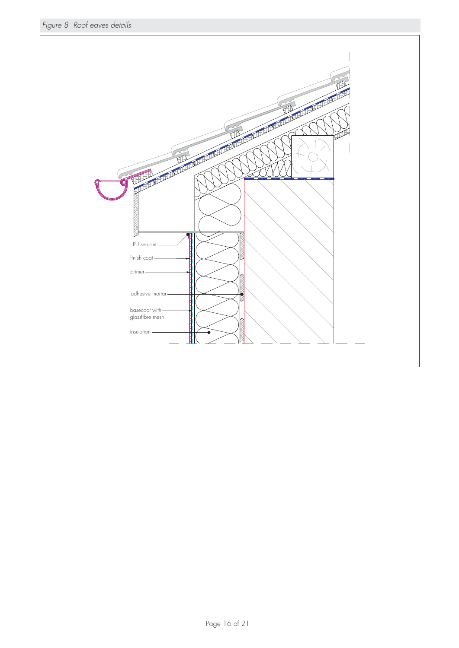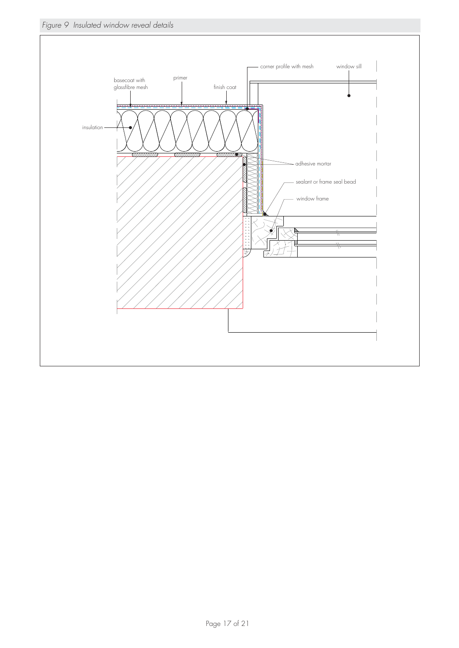*Figure 9 Insulated window reveal details*

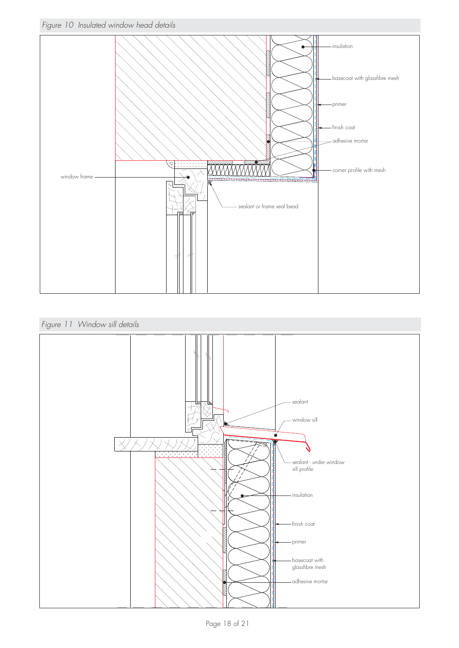



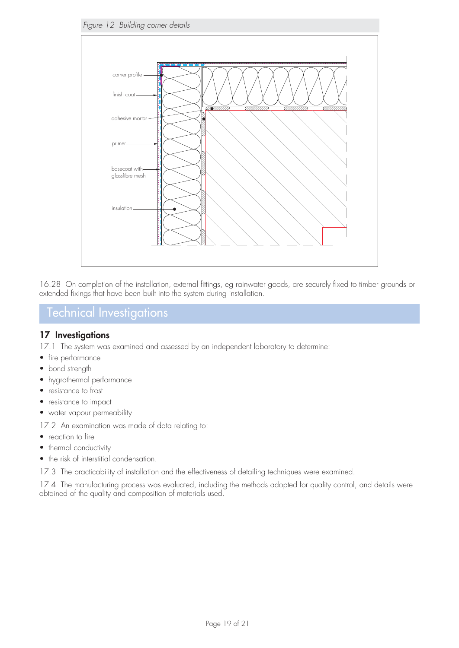

16.28 On completion of the installation, external fittings, eg rainwater goods, are securely fixed to timber grounds or extended fixings that have been built into the system during installation.

# Technical Investigations

### **17 Investigations**

- 17.1 The system was examined and assessed by an independent laboratory to determine:
- fire performance
- bond strength
- hygrothermal performance
- resistance to frost
- resistance to impact
- water vapour permeability.

17.2 An examination was made of data relating to:

- reaction to fire
- thermal conductivity
- the risk of interstitial condensation.
- 17.3 The practicability of installation and the effectiveness of detailing techniques were examined.

17.4 The manufacturing process was evaluated, including the methods adopted for quality control, and details were obtained of the quality and composition of materials used.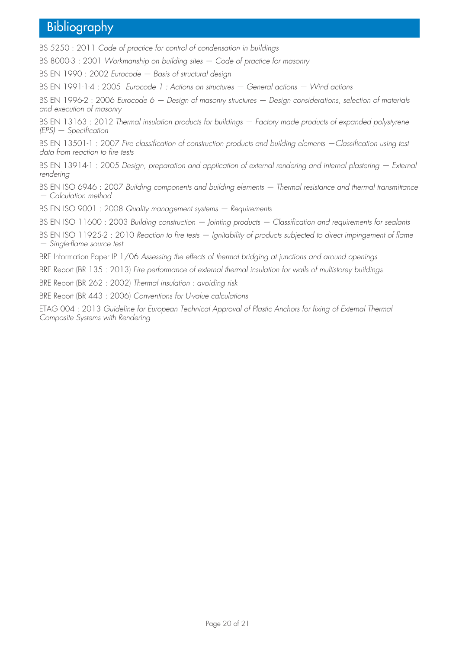# Bibliography

BS 5250 : 2011 *Code of practice for control of condensation in buildings* 

BS 8000-3 : 2001 *Workmanship on building sites — Code of practice for masonry* 

BS EN 1990 : 2002 *Eurocode — Basis of structural design* 

BS EN 1991-1-4 : 2005 *Eurocode 1 : Actions on structures — General actions — Wind actions*

BS EN 1996-2 : 2006 *Eurocode 6 — Design of masonry structures — Design considerations, selection of materials and execution of masonry*

BS EN 13163 : 2012 *Thermal insulation products for buildings – Factory made products of expanded polystyrene (EPS) — Specification* 

BS EN 13501-1 : 2007 *Fire classification of construction products and building elements —Classification using test data from reaction to fire tests* 

BS EN 13914-1 : 2005 *Design, preparation and application of external rendering and internal plastering – External rendering* 

BS EN ISO 6946 : 2007 *Building components and building elements — Thermal resistance and thermal transmittance — Calculation method* 

BS EN ISO 9001 : 2008 *Quality management systems — Requirements* 

BS EN ISO 11600 : 2003 *Building construction — Jointing products — Classification and requirements for sealants* 

BS EN ISO 11925-2 : 2010 *Reaction to fire tests — Ignitability of products subjected to direct impingement of flame — Single-flame source test* 

BRE Information Paper IP 1/06 *Assessing the effects of thermal bridging at junctions and around openings*

BRE Report (BR 135 : 2013) *Fire performance of external thermal insulation for walls of multistorey buildings* 

BRE Report (BR 262 : 2002) *Thermal insulation : avoiding risk*

BRE Report (BR 443 : 2006) *Conventions for U-value calculations*

ETAG 004 : 2013 *Guideline for European Technical Approval of Plastic Anchors for fixing of External Thermal Composite Systems with Rendering*